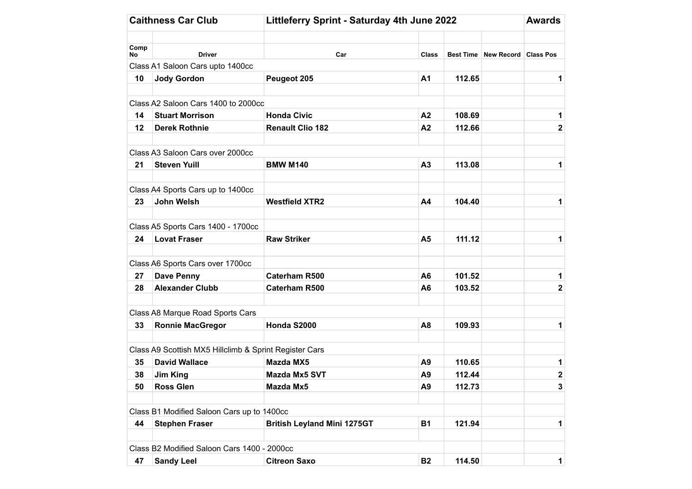|      | <b>Caithness Car Club</b>                              | Littleferry Sprint - Saturday 4th June 2022 |                |        |                                |                         |  |  |
|------|--------------------------------------------------------|---------------------------------------------|----------------|--------|--------------------------------|-------------------------|--|--|
| Comp |                                                        |                                             |                |        |                                |                         |  |  |
| No   | <b>Driver</b>                                          | Car                                         | <b>Class</b>   |        | Best Time New Record Class Pos |                         |  |  |
|      | Class A1 Saloon Cars upto 1400cc                       |                                             |                |        |                                |                         |  |  |
| 10   | <b>Jody Gordon</b>                                     | Peugeot 205                                 | A <sub>1</sub> | 112.65 |                                | 1                       |  |  |
|      | Class A2 Saloon Cars 1400 to 2000cc                    |                                             |                |        |                                |                         |  |  |
| 14   | <b>Stuart Morrison</b>                                 | <b>Honda Civic</b>                          | A2             | 108.69 |                                | 1                       |  |  |
| 12   | <b>Derek Rothnie</b>                                   | <b>Renault Clio 182</b>                     | A2             | 112.66 |                                | 2                       |  |  |
|      | Class A3 Saloon Cars over 2000cc                       |                                             |                |        |                                |                         |  |  |
| 21   | <b>Steven Yuill</b>                                    | <b>BMW M140</b>                             | A3             | 113.08 |                                | 1                       |  |  |
|      | Class A4 Sports Cars up to 1400cc                      |                                             |                |        |                                |                         |  |  |
| 23   | John Welsh                                             | <b>Westfield XTR2</b>                       | A4             | 104.40 |                                | 1                       |  |  |
|      | Class A5 Sports Cars 1400 - 1700cc                     |                                             |                |        |                                |                         |  |  |
| 24   | <b>Lovat Fraser</b>                                    | <b>Raw Striker</b>                          | A <sub>5</sub> | 111.12 |                                | 1                       |  |  |
|      | Class A6 Sports Cars over 1700cc                       |                                             |                |        |                                |                         |  |  |
| 27   | Dave Penny                                             | <b>Caterham R500</b>                        | A <sub>6</sub> | 101.52 |                                | 1                       |  |  |
| 28   | <b>Alexander Clubb</b>                                 | Caterham R500                               | A <sub>6</sub> | 103.52 |                                | $\overline{\mathbf{c}}$ |  |  |
|      | Class A8 Marque Road Sports Cars                       |                                             |                |        |                                |                         |  |  |
| 33   | <b>Ronnie MacGregor</b>                                | Honda S2000                                 | A <sub>8</sub> | 109.93 |                                | 1                       |  |  |
|      | Class A9 Scottish MX5 Hillclimb & Sprint Register Cars |                                             |                |        |                                |                         |  |  |
| 35   | <b>David Wallace</b>                                   | <b>Mazda MX5</b>                            | A9             | 110.65 |                                | 1                       |  |  |
| 38   | <b>Jim King</b>                                        | Mazda Mx5 SVT                               | A <sub>9</sub> | 112.44 |                                | $\overline{\mathbf{2}}$ |  |  |
| 50   | <b>Ross Glen</b>                                       | Mazda Mx5                                   | A <sub>9</sub> | 112.73 |                                | 3                       |  |  |
|      | Class B1 Modified Saloon Cars up to 1400cc             |                                             |                |        |                                |                         |  |  |
| 44   | <b>Stephen Fraser</b>                                  | <b>British Leyland Mini 1275GT</b>          | <b>B1</b>      | 121.94 |                                | 1                       |  |  |
|      | Class B2 Modified Saloon Cars 1400 - 2000cc            |                                             |                |        |                                |                         |  |  |
| 47   | <b>Sandy Leel</b>                                      | <b>Citreon Saxo</b>                         | <b>B2</b>      | 114.50 |                                | 1                       |  |  |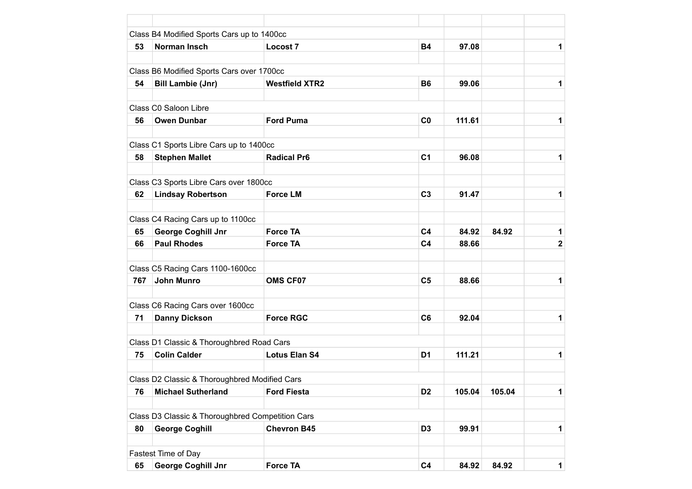|     | Class B4 Modified Sports Cars up to 1400cc       |                       |                |        |        |              |
|-----|--------------------------------------------------|-----------------------|----------------|--------|--------|--------------|
| 53  | Norman Insch                                     | Locost 7              | <b>B4</b>      | 97.08  |        | 1            |
|     | Class B6 Modified Sports Cars over 1700cc        |                       |                |        |        |              |
| 54  | <b>Bill Lambie (Jnr)</b>                         | <b>Westfield XTR2</b> | <b>B6</b>      | 99.06  |        | 1            |
|     |                                                  |                       |                |        |        |              |
|     | Class C0 Saloon Libre                            |                       |                |        |        |              |
| 56  | <b>Owen Dunbar</b>                               | <b>Ford Puma</b>      | C <sub>0</sub> | 111.61 |        | 1            |
|     | Class C1 Sports Libre Cars up to 1400cc          |                       |                |        |        |              |
| 58  | <b>Stephen Mallet</b>                            | <b>Radical Pr6</b>    | C <sub>1</sub> | 96.08  |        | 1            |
|     |                                                  |                       |                |        |        |              |
|     | Class C3 Sports Libre Cars over 1800cc           | <b>Force LM</b>       |                |        |        |              |
| 62  | <b>Lindsay Robertson</b>                         |                       | C <sub>3</sub> | 91.47  |        | 1            |
|     | Class C4 Racing Cars up to 1100cc                |                       |                |        |        |              |
| 65  | <b>George Coghill Jnr</b>                        | <b>Force TA</b>       | C <sub>4</sub> | 84.92  | 84.92  | $\mathbf 1$  |
| 66  | <b>Paul Rhodes</b>                               | <b>Force TA</b>       | C <sub>4</sub> | 88.66  |        | $\mathbf{2}$ |
|     | Class C5 Racing Cars 1100-1600cc                 |                       |                |        |        |              |
| 767 | <b>John Munro</b>                                | <b>OMS CF07</b>       | C <sub>5</sub> | 88.66  |        | 1            |
|     |                                                  |                       |                |        |        |              |
|     | Class C6 Racing Cars over 1600cc                 |                       |                |        |        |              |
| 71  | <b>Danny Dickson</b>                             | <b>Force RGC</b>      | C <sub>6</sub> | 92.04  |        | 1            |
|     | Class D1 Classic & Thoroughbred Road Cars        |                       |                |        |        |              |
| 75  | <b>Colin Calder</b>                              | <b>Lotus Elan S4</b>  | D <sub>1</sub> | 111.21 |        | 1            |
|     |                                                  |                       |                |        |        |              |
|     | Class D2 Classic & Thoroughbred Modified Cars    |                       |                |        |        |              |
| 76  | <b>Michael Sutherland</b>                        | <b>Ford Fiesta</b>    | D <sub>2</sub> | 105.04 | 105.04 | 1            |
|     |                                                  |                       |                |        |        |              |
|     | Class D3 Classic & Thoroughbred Competition Cars |                       |                |        |        |              |
| 80  | <b>George Coghill</b>                            | <b>Chevron B45</b>    | D <sub>3</sub> | 99.91  |        | 1            |
|     | Fastest Time of Day                              |                       |                |        |        |              |
| 65  | <b>George Coghill Jnr</b>                        | <b>Force TA</b>       | C <sub>4</sub> | 84.92  | 84.92  | $\mathbf 1$  |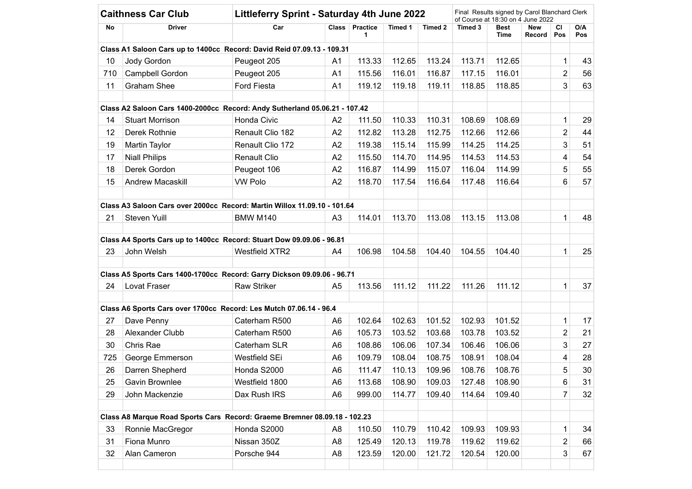| No<br>10<br>710<br>11 |                        | Littleferry Sprint - Saturday 4th June 2022                                | Final Results signed by Carol Blanchard Clerk<br>of Course at 18:30 on 4 June 2022 |                      |         |         |         |              |                      |                |            |
|-----------------------|------------------------|----------------------------------------------------------------------------|------------------------------------------------------------------------------------|----------------------|---------|---------|---------|--------------|----------------------|----------------|------------|
|                       | Driver                 | Car                                                                        |                                                                                    | Class Practice<br>1. | Timed 1 | Timed 2 | Timed 3 | Best<br>Time | <b>New</b><br>Record | СI<br>Pos      | O/A<br>Pos |
|                       |                        | Class A1 Saloon Cars up to 1400cc Record: David Reid 07.09.13 - 109.31     |                                                                                    |                      |         |         |         |              |                      |                |            |
|                       | Jody Gordon            | Peugeot 205                                                                | A1                                                                                 | 113.33               | 112.65  | 113.24  | 113.71  | 112.65       |                      | 1              | 43         |
|                       | Campbell Gordon        | Peugeot 205                                                                | A1                                                                                 | 115.56               | 116.01  | 116.87  | 117.15  | 116.01       |                      | $\overline{2}$ | 56         |
|                       | <b>Graham Shee</b>     | Ford Fiesta                                                                | A <sub>1</sub>                                                                     | 119.12               | 119.18  | 119.11  | 118.85  | 118.85       |                      | 3              | 63         |
|                       |                        | Class A2 Saloon Cars 1400-2000cc Record: Andy Sutherland 05.06.21 - 107.42 |                                                                                    |                      |         |         |         |              |                      |                |            |
| 14                    | <b>Stuart Morrison</b> | Honda Civic                                                                | A <sub>2</sub>                                                                     | 111.50               | 110.33  | 110.31  | 108.69  | 108.69       |                      | 1              | 29         |
| 12                    | Derek Rothnie          | Renault Clio 182                                                           | A2                                                                                 | 112.82               | 113.28  | 112.75  | 112.66  | 112.66       |                      | $\overline{2}$ | 44         |
| 19                    | Martin Taylor          | Renault Clio 172                                                           | A <sub>2</sub>                                                                     | 119.38               | 115.14  | 115.99  | 114.25  | 114.25       |                      | 3              | 51         |
| 17                    | <b>Niall Philips</b>   | <b>Renault Clio</b>                                                        | A2                                                                                 | 115.50               | 114.70  | 114.95  | 114.53  | 114.53       |                      | 4              | 54         |
| 18                    | Derek Gordon           | Peugeot 106                                                                | A <sub>2</sub>                                                                     | 116.87               | 114.99  | 115.07  | 116.04  | 114.99       |                      | 5              | 55         |
| 15                    | Andrew Macaskill       | <b>VW Polo</b>                                                             | A <sub>2</sub>                                                                     | 118.70               | 117.54  | 116.64  | 117.48  | 116.64       |                      | 6              | 57         |
|                       |                        | Class A3 Saloon Cars over 2000cc Record: Martin Willox 11.09.10 - 101.64   |                                                                                    |                      |         |         |         |              |                      |                |            |
| 21                    | Steven Yuill           | <b>BMW M140</b>                                                            | A <sub>3</sub>                                                                     | 114.01               | 113.70  | 113.08  | 113.15  | 113.08       |                      | 1              | 48         |
|                       |                        | Class A4 Sports Cars up to 1400cc Record: Stuart Dow 09.09.06 - 96.81      |                                                                                    |                      |         |         |         |              |                      |                |            |
| 23                    | John Welsh             | <b>Westfield XTR2</b>                                                      | A4                                                                                 | 106.98               | 104.58  | 104.40  | 104.55  | 104.40       |                      | 1              | 25         |
|                       |                        | Class A5 Sports Cars 1400-1700cc Record: Garry Dickson 09.09.06 - 96.71    |                                                                                    |                      |         |         |         |              |                      |                |            |
| 24                    | Lovat Fraser           | <b>Raw Striker</b>                                                         | A <sub>5</sub>                                                                     | 113.56               | 111.12  | 111.22  | 111.26  | 111.12       |                      | 1              | 37         |
|                       |                        | Class A6 Sports Cars over 1700cc Record: Les Mutch 07.06.14 - 96.4         |                                                                                    |                      |         |         |         |              |                      |                |            |
| 27                    | Dave Penny             | Caterham R500                                                              | A <sub>6</sub>                                                                     | 102.64               | 102.63  | 101.52  | 102.93  | 101.52       |                      | 1              | 17         |
| 28                    | Alexander Clubb        | Caterham R500                                                              | A <sub>6</sub>                                                                     | 105.73               | 103.52  | 103.68  | 103.78  | 103.52       |                      | $\overline{2}$ | 21         |
| 30                    | Chris Rae              | Caterham SLR                                                               | A <sub>6</sub>                                                                     | 108.86               | 106.06  | 107.34  | 106.46  | 106.06       |                      | 3              | 27         |
| 725                   | George Emmerson        | Westfield SEi                                                              | A <sub>6</sub>                                                                     | 109.79               | 108.04  | 108.75  | 108.91  | 108.04       |                      | 4              | 28         |
| 26                    | Darren Shepherd        | Honda S2000                                                                | A <sub>6</sub>                                                                     | 111.47               | 110.13  | 109.96  | 108.76  | 108.76       |                      | 5              | 30         |
| 25                    | Gavin Brownlee         | Westfield 1800                                                             | A <sub>6</sub>                                                                     | 113.68               | 108.90  | 109.03  | 127.48  | 108.90       |                      | 6              | 31         |
| 29                    | John Mackenzie         | Dax Rush IRS                                                               | A <sub>6</sub>                                                                     | 999.00               | 114.77  | 109.40  | 114.64  | 109.40       |                      | 7              | 32         |
|                       |                        | Class A8 Marque Road Sports Cars Record: Graeme Bremner 08.09.18 - 102.23  |                                                                                    |                      |         |         |         |              |                      |                |            |
| 33                    | Ronnie MacGregor       | Honda S2000                                                                | A <sub>8</sub>                                                                     | 110.50               | 110.79  | 110.42  | 109.93  | 109.93       |                      | 1              | 34         |
| 31                    | Fiona Munro            | Nissan 350Z                                                                | A <sub>8</sub>                                                                     | 125.49               | 120.13  | 119.78  | 119.62  | 119.62       |                      | 2              | 66         |
| 32                    | Alan Cameron           | Porsche 944                                                                | A <sub>8</sub>                                                                     | 123.59               | 120.00  | 121.72  | 120.54  | 120.00       |                      | 3              | 67         |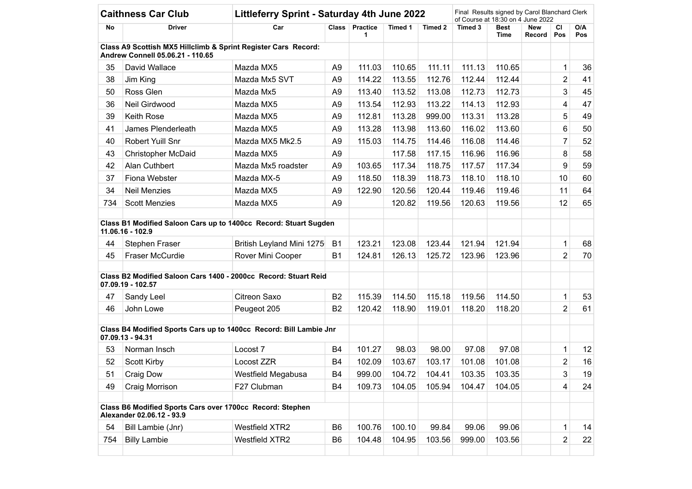| <b>Caithness Car Club</b> |                                  |                                                                    | Littleferry Sprint - Saturday 4th June 2022 |                       |         |         |         |              | Final Results signed by Carol Blanchard Clerk<br>of Course at 18:30 on 4 June 2022 |                |            |  |  |
|---------------------------|----------------------------------|--------------------------------------------------------------------|---------------------------------------------|-----------------------|---------|---------|---------|--------------|------------------------------------------------------------------------------------|----------------|------------|--|--|
| No                        | Driver                           | Car                                                                | <b>Class</b>                                | <b>Practice</b><br>1. | Timed 1 | Timed 2 | Timed 3 | Best<br>Time | New<br><b>Record</b>                                                               | СI<br>Pos      | O/A<br>Pos |  |  |
|                           | Andrew Connell 05.06.21 - 110.65 | Class A9 Scottish MX5 Hillclimb & Sprint Register Cars Record:     |                                             |                       |         |         |         |              |                                                                                    |                |            |  |  |
| 35                        | David Wallace                    | Mazda MX5                                                          | A9                                          | 111.03                | 110.65  | 111.11  | 111.13  | 110.65       |                                                                                    | 1              | 36         |  |  |
| 38                        | Jim King                         | Mazda Mx5 SVT                                                      | A <sub>9</sub>                              | 114.22                | 113.55  | 112.76  | 112.44  | 112.44       |                                                                                    | $\overline{2}$ | 41         |  |  |
| 50                        | Ross Glen                        | Mazda Mx5                                                          | A <sub>9</sub>                              | 113.40                | 113.52  | 113.08  | 112.73  | 112.73       |                                                                                    | 3              | 45         |  |  |
| 36                        | Neil Girdwood                    | Mazda MX5                                                          | A <sub>9</sub>                              | 113.54                | 112.93  | 113.22  | 114.13  | 112.93       |                                                                                    | 4              | 47         |  |  |
| 39                        | <b>Keith Rose</b>                | Mazda MX5                                                          | A <sub>9</sub>                              | 112.81                | 113.28  | 999.00  | 113.31  | 113.28       |                                                                                    | 5              | 49         |  |  |
| 41                        | James Plenderleath               | Mazda MX5                                                          | A <sub>9</sub>                              | 113.28                | 113.98  | 113.60  | 116.02  | 113.60       |                                                                                    | 6              | 50         |  |  |
| 40                        | Robert Yuill Snr                 | Mazda MX5 Mk2.5                                                    | A <sub>9</sub>                              | 115.03                | 114.75  | 114.46  | 116.08  | 114.46       |                                                                                    | $\overline{7}$ | 52         |  |  |
| 43                        | <b>Christopher McDaid</b>        | Mazda MX5                                                          | A <sub>9</sub>                              |                       | 117.58  | 117.15  | 116.96  | 116.96       |                                                                                    | 8              | 58         |  |  |
| 42                        | Alan Cuthbert                    | Mazda Mx5 roadster                                                 | A <sub>9</sub>                              | 103.65                | 117.34  | 118.75  | 117.57  | 117.34       |                                                                                    | 9              | 59         |  |  |
| 37                        | Fiona Webster                    | Mazda MX-5                                                         | A <sub>9</sub>                              | 118.50                | 118.39  | 118.73  | 118.10  | 118.10       |                                                                                    | 10             | 60         |  |  |
| 34                        | <b>Neil Menzies</b>              | Mazda MX5                                                          | A <sub>9</sub>                              | 122.90                | 120.56  | 120.44  | 119.46  | 119.46       |                                                                                    | 11             | 64         |  |  |
| 734                       | <b>Scott Menzies</b>             | Mazda MX5                                                          | A <sub>9</sub>                              |                       | 120.82  | 119.56  | 120.63  | 119.56       |                                                                                    | 12             | 65         |  |  |
|                           | 11.06.16 - 102.9                 | Class B1 Modified Saloon Cars up to 1400cc Record: Stuart Sugden   |                                             |                       |         |         |         |              |                                                                                    |                |            |  |  |
| 44                        | <b>Stephen Fraser</b>            | British Leyland Mini 1275                                          | B <sub>1</sub>                              | 123.21                | 123.08  | 123.44  | 121.94  | 121.94       |                                                                                    | 1              | 68         |  |  |
| 45                        | Fraser McCurdie                  | Rover Mini Cooper                                                  | <b>B1</b>                                   | 124.81                | 126.13  | 125.72  | 123.96  | 123.96       |                                                                                    | $\overline{2}$ | 70         |  |  |
|                           | 07.09.19 - 102.57                | Class B2 Modified Saloon Cars 1400 - 2000cc Record: Stuart Reid    |                                             |                       |         |         |         |              |                                                                                    |                |            |  |  |
| 47                        | Sandy Leel                       | Citreon Saxo                                                       | B <sub>2</sub>                              | 115.39                | 114.50  | 115.18  | 119.56  | 114.50       |                                                                                    | 1              | 53         |  |  |
| 46                        | John Lowe                        | Peugeot 205                                                        | B <sub>2</sub>                              | 120.42                | 118.90  | 119.01  | 118.20  | 118.20       |                                                                                    | $\overline{2}$ | 61         |  |  |
|                           | 07.09.13 - 94.31                 | Class B4 Modified Sports Cars up to 1400cc Record: Bill Lambie Jnr |                                             |                       |         |         |         |              |                                                                                    |                |            |  |  |
| 53                        | Norman Insch                     | Locost 7                                                           | B4                                          | 101.27                | 98.03   | 98.00   | 97.08   | 97.08        |                                                                                    | 1              | 12         |  |  |
| 52                        | <b>Scott Kirby</b>               | Locost ZZR                                                         | B <sub>4</sub>                              | 102.09                | 103.67  | 103.17  | 101.08  | 101.08       |                                                                                    | $\overline{2}$ | 16         |  |  |
| 51                        | Craig Dow                        | Westfield Megabusa                                                 | B4                                          | 999.00                | 104.72  | 104.41  | 103.35  | 103.35       |                                                                                    | 3              | 19         |  |  |
| 49                        | Craig Morrison                   | F27 Clubman                                                        | B4                                          | 109.73                | 104.05  | 105.94  | 104.47  | 104.05       |                                                                                    | 4              | 24         |  |  |
|                           | Alexander 02.06.12 - 93.9        | Class B6 Modified Sports Cars over 1700cc Record: Stephen          |                                             |                       |         |         |         |              |                                                                                    |                |            |  |  |
| 54                        | Bill Lambie (Jnr)                | <b>Westfield XTR2</b>                                              | B <sub>6</sub>                              | 100.76                | 100.10  | 99.84   | 99.06   | 99.06        |                                                                                    | 1              | 14         |  |  |
| 754                       | <b>Billy Lambie</b>              | <b>Westfield XTR2</b>                                              | B <sub>6</sub>                              | 104.48                | 104.95  | 103.56  | 999.00  | 103.56       |                                                                                    | $\overline{c}$ | 22         |  |  |
|                           |                                  |                                                                    |                                             |                       |         |         |         |              |                                                                                    |                |            |  |  |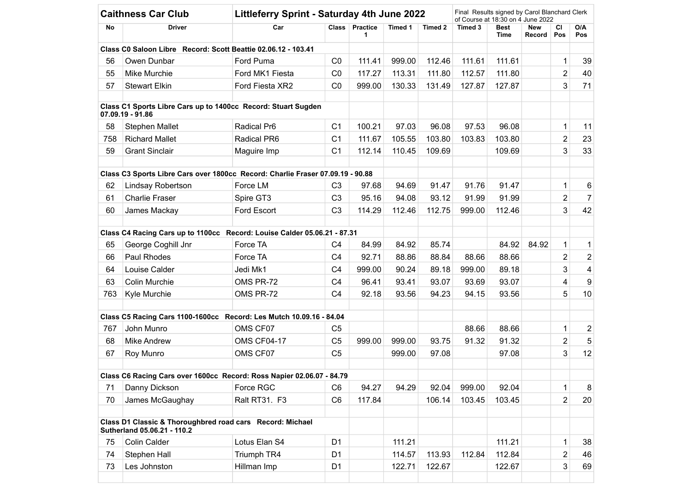| <b>Caithness Car Club</b> |                             |                                                                                | Littleferry Sprint - Saturday 4th June 2022 |                      |         |         |         | Final Results signed by Carol Blanchard Clerk<br>of Course at 18:30 on 4 June 2022 |               |                         |                |  |  |
|---------------------------|-----------------------------|--------------------------------------------------------------------------------|---------------------------------------------|----------------------|---------|---------|---------|------------------------------------------------------------------------------------|---------------|-------------------------|----------------|--|--|
| No                        | Driver                      | Car                                                                            | <b>Class</b>                                | <b>Practice</b><br>1 | Timed 1 | Timed 2 | Timed 3 | Best<br>Time                                                                       | New<br>Record | CI<br>Pos               | O/A<br>Pos     |  |  |
|                           |                             | Class C0 Saloon Libre Record: Scott Beattie 02.06.12 - 103.41                  |                                             |                      |         |         |         |                                                                                    |               |                         |                |  |  |
| 56                        | Owen Dunbar                 | Ford Puma                                                                      | CO                                          | 111.41               | 999.00  | 112.46  | 111.61  | 111.61                                                                             |               | 1                       | 39             |  |  |
| 55                        | Mike Murchie                | Ford MK1 Fiesta                                                                | CO                                          | 117.27               | 113.31  | 111.80  | 112.57  | 111.80                                                                             |               | $\overline{2}$          | 40             |  |  |
| 57                        | <b>Stewart Elkin</b>        | Ford Fiesta XR2                                                                | CO                                          | 999.00               | 130.33  | 131.49  | 127.87  | 127.87                                                                             |               | 3                       | 71             |  |  |
|                           | 07.09.19 - 91.86            | Class C1 Sports Libre Cars up to 1400cc Record: Stuart Sugden                  |                                             |                      |         |         |         |                                                                                    |               |                         |                |  |  |
| 58                        | <b>Stephen Mallet</b>       | Radical Pr6                                                                    | C <sub>1</sub>                              | 100.21               | 97.03   | 96.08   | 97.53   | 96.08                                                                              |               | 1                       | 11             |  |  |
| 758                       | <b>Richard Mallet</b>       | Radical PR6                                                                    | C <sub>1</sub>                              | 111.67               | 105.55  | 103.80  | 103.83  | 103.80                                                                             |               | $\overline{2}$          | 23             |  |  |
| 59                        | <b>Grant Sinclair</b>       | Maguire Imp                                                                    | C <sub>1</sub>                              | 112.14               | 110.45  | 109.69  |         | 109.69                                                                             |               | 3                       | 33             |  |  |
|                           |                             | Class C3 Sports Libre Cars over 1800cc Record: Charlie Fraser 07.09.19 - 90.88 |                                             |                      |         |         |         |                                                                                    |               |                         |                |  |  |
| 62                        | <b>Lindsay Robertson</b>    | Force LM                                                                       | C <sub>3</sub>                              | 97.68                | 94.69   | 91.47   | 91.76   | 91.47                                                                              |               | 1                       | 6              |  |  |
| 61                        | <b>Charlie Fraser</b>       | Spire GT3                                                                      | C <sub>3</sub>                              | 95.16                | 94.08   | 93.12   | 91.99   | 91.99                                                                              |               | $\overline{2}$          | $\overline{7}$ |  |  |
| 60                        | James Mackay                | Ford Escort                                                                    | C <sub>3</sub>                              | 114.29               | 112.46  | 112.75  | 999.00  | 112.46                                                                             |               | 3                       | 42             |  |  |
|                           |                             | Class C4 Racing Cars up to 1100cc Record: Louise Calder 05.06.21 - 87.31       |                                             |                      |         |         |         |                                                                                    |               |                         |                |  |  |
| 65                        | George Coghill Jnr          | Force TA                                                                       | C <sub>4</sub>                              | 84.99                | 84.92   | 85.74   |         | 84.92                                                                              | 84.92         | 1                       | 1              |  |  |
| 66                        | Paul Rhodes                 | Force TA                                                                       | C <sub>4</sub>                              | 92.71                | 88.86   | 88.84   | 88.66   | 88.66                                                                              |               | $\overline{2}$          | $\overline{c}$ |  |  |
| 64                        | Louise Calder               | Jedi Mk1                                                                       | C <sub>4</sub>                              | 999.00               | 90.24   | 89.18   | 999.00  | 89.18                                                                              |               | 3                       | 4              |  |  |
| 63                        | Colin Murchie               | OMS PR-72                                                                      | C <sub>4</sub>                              | 96.41                | 93.41   | 93.07   | 93.69   | 93.07                                                                              |               | $\overline{\mathbf{4}}$ | 9              |  |  |
| 763                       | Kyle Murchie                | OMS PR-72                                                                      | C <sub>4</sub>                              | 92.18                | 93.56   | 94.23   | 94.15   | 93.56                                                                              |               | 5                       | 10             |  |  |
|                           |                             | Class C5 Racing Cars 1100-1600cc Record: Les Mutch 10.09.16 - 84.04            |                                             |                      |         |         |         |                                                                                    |               |                         |                |  |  |
| 767                       | John Munro                  | OMS CF07                                                                       | C <sub>5</sub>                              |                      |         |         | 88.66   | 88.66                                                                              |               | 1                       | 2              |  |  |
| 68                        | <b>Mike Andrew</b>          | <b>OMS CF04-17</b>                                                             | C <sub>5</sub>                              | 999.00               | 999.00  | 93.75   | 91.32   | 91.32                                                                              |               | $\overline{2}$          | 5              |  |  |
| 67                        | Roy Munro                   | OMS CF07                                                                       | C <sub>5</sub>                              |                      | 999.00  | 97.08   |         | 97.08                                                                              |               | 3                       | 12             |  |  |
|                           |                             | Class C6 Racing Cars over 1600cc Record: Ross Napier 02.06.07 - 84.79          |                                             |                      |         |         |         |                                                                                    |               |                         |                |  |  |
| 71                        | Danny Dickson               | Force RGC                                                                      | C <sub>6</sub>                              | 94.27                | 94.29   | 92.04   | 999.00  | 92.04                                                                              |               | 1                       | 8              |  |  |
| 70                        | James McGaughay             | Ralt RT31. F3                                                                  | C <sub>6</sub>                              | 117.84               |         | 106.14  | 103.45  | 103.45                                                                             |               | $\overline{2}$          | 20             |  |  |
|                           |                             |                                                                                |                                             |                      |         |         |         |                                                                                    |               |                         |                |  |  |
|                           | Sutherland 05.06.21 - 110.2 | Class D1 Classic & Thoroughbred road cars Record: Michael                      |                                             |                      |         |         |         |                                                                                    |               |                         |                |  |  |
| 75                        | Colin Calder                | Lotus Elan S4                                                                  | D <sub>1</sub>                              |                      | 111.21  |         |         | 111.21                                                                             |               | 1                       | 38             |  |  |
| 74                        | Stephen Hall                | Triumph TR4                                                                    | D <sub>1</sub>                              |                      | 114.57  | 113.93  | 112.84  | 112.84                                                                             |               | $\overline{2}$          | 46             |  |  |
| 73                        | Les Johnston                | Hillman Imp                                                                    | D <sub>1</sub>                              |                      | 122.71  | 122.67  |         | 122.67                                                                             |               | 3                       | 69             |  |  |
|                           |                             |                                                                                |                                             |                      |         |         |         |                                                                                    |               |                         |                |  |  |